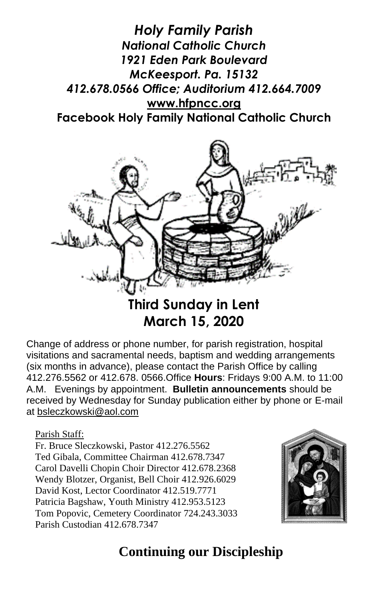



# **March 15, 2020**

Change of address or phone number, for parish registration, hospital visitations and sacramental needs, baptism and wedding arrangements (six months in advance), please contact the Parish Office by calling 412.276.5562 or 412.678. 0566.Office **Hours**: Fridays 9:00 A.M. to 11:00 A.M. Evenings by appointment. **Bulletin announcements** should be received by Wednesday for Sunday publication either by phone or E-mail at [bsleczkowski@aol.com](mailto:bsleczkowski@aol.com)

Parish Staff:

Fr. Bruce Sleczkowski, Pastor 412.276.5562 Ted Gibala, Committee Chairman 412.678.7347 Carol Davelli Chopin Choir Director 412.678.2368 Wendy Blotzer, Organist, Bell Choir 412.926.6029 David Kost, Lector Coordinator 412.519.7771 Patricia Bagshaw, Youth Ministry 412.953.5123 Tom Popovic, Cemetery Coordinator 724.243.3033 Parish Custodian 412.678.7347



# **Continuing our Discipleship**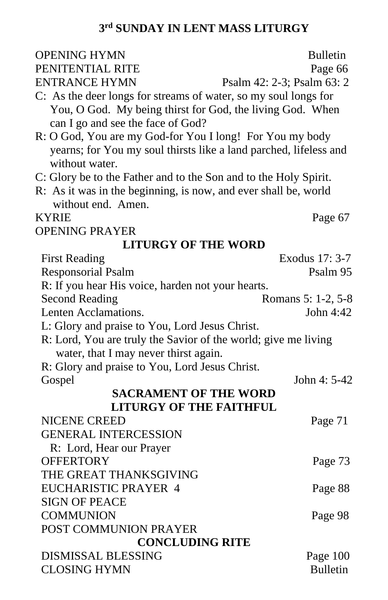#### **3 rd SUNDAY IN LENT MASS LITURGY**

| <b>OPENING HYMN</b>                                               | <b>Bulletin</b>            |  |
|-------------------------------------------------------------------|----------------------------|--|
| PENITENTIAL RITE                                                  | Page 66                    |  |
| <b>ENTRANCE HYMN</b>                                              | Psalm 42: 2-3; Psalm 63: 2 |  |
| C: As the deer longs for streams of water, so my soul longs for   |                            |  |
| You, O God. My being thirst for God, the living God. When         |                            |  |
| can I go and see the face of God?                                 |                            |  |
| R: O God, You are my God-for You I long! For You my body          |                            |  |
| yearns; for You my soul thirsts like a land parched, lifeless and |                            |  |
| without water.                                                    |                            |  |
| C: Glory be to the Father and to the Son and to the Holy Spirit.  |                            |  |
| R: As it was in the beginning, is now, and ever shall be, world   |                            |  |
| without end. Amen.                                                |                            |  |
| <b>KYRIE</b>                                                      | Page 67                    |  |
| <b>OPENING PRAYER</b>                                             |                            |  |
| <b>LITURGY OF THE WORD</b>                                        |                            |  |
| <b>First Reading</b>                                              | Exodus 17: 3-7             |  |
| <b>Responsorial Psalm</b>                                         | Psalm 95                   |  |
| R: If you hear His voice, harden not your hearts.                 |                            |  |
| <b>Second Reading</b>                                             | Romans 5: 1-2, 5-8         |  |
| Lenten Acclamations.                                              | John 4:42                  |  |
| L: Glory and praise to You, Lord Jesus Christ.                    |                            |  |
| R: Lord, You are truly the Savior of the world; give me living    |                            |  |
| water, that I may never thirst again.                             |                            |  |
| R: Glory and praise to You, Lord Jesus Christ.                    |                            |  |
| Gospel                                                            | John 4: 5-42               |  |
| <b>SACRAMENT OF THE WORD</b>                                      |                            |  |
| <b>LITURGY OF THE FAITHFUL</b>                                    |                            |  |
| <b>NICENE CREED</b>                                               | Page 71                    |  |
| <b>GENERAL INTERCESSION</b>                                       |                            |  |
| R: Lord, Hear our Prayer                                          |                            |  |
| <b>OFFERTORY</b>                                                  | Page 73                    |  |
| THE GREAT THANKSGIVING                                            |                            |  |
| EUCHARISTIC PRAYER 4                                              | Page 88                    |  |
| <b>SIGN OF PEACE</b>                                              |                            |  |
| <b>COMMUNION</b>                                                  | Page 98                    |  |
| POST COMMUNION PRAYER                                             |                            |  |
| <b>CONCLUDING RITE</b>                                            |                            |  |
| <b>DISMISSAL BLESSING</b>                                         | Page 100                   |  |
| <b>CLOSING HYMN</b>                                               | <b>Bulletin</b>            |  |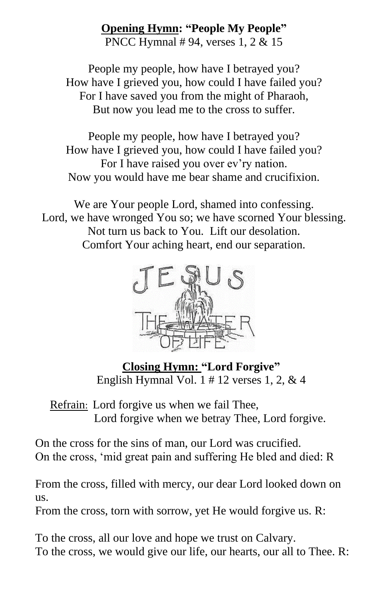#### **Opening Hymn: "People My People"**

PNCC Hymnal # 94, verses 1, 2 & 15

People my people, how have I betrayed you? How have I grieved you, how could I have failed you? For I have saved you from the might of Pharaoh, But now you lead me to the cross to suffer.

People my people, how have I betrayed you? How have I grieved you, how could I have failed you? For I have raised you over ev'ry nation. Now you would have me bear shame and crucifixion.

We are Your people Lord, shamed into confessing. Lord, we have wronged You so; we have scorned Your blessing. Not turn us back to You. Lift our desolation. Comfort Your aching heart, end our separation.



**Closing Hymn: "Lord Forgive"** English Hymnal Vol.  $1 \# 12$  verses  $1, 2, \& 4$ 

Refrain: Lord forgive us when we fail Thee, Lord forgive when we betray Thee, Lord forgive.

On the cross for the sins of man, our Lord was crucified. On the cross, 'mid great pain and suffering He bled and died: R

From the cross, filled with mercy, our dear Lord looked down on us.

From the cross, torn with sorrow, yet He would forgive us. R:

To the cross, all our love and hope we trust on Calvary. To the cross, we would give our life, our hearts, our all to Thee. R: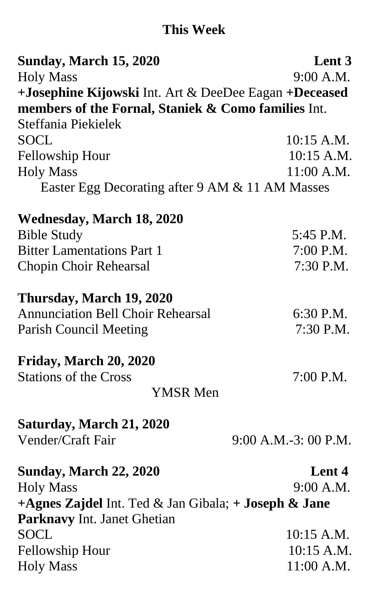# **This Week**

| <b>Sunday, March 15, 2020</b>                         | Lent 3               |
|-------------------------------------------------------|----------------------|
| <b>Holy Mass</b>                                      | 9:00 A.M.            |
| +Josephine Kijowski Int. Art & DeeDee Eagan +Deceased |                      |
| members of the Fornal, Staniek & Como families Int.   |                      |
| Steffania Piekielek                                   |                      |
| <b>SOCL</b>                                           | $10:15$ A.M.         |
| <b>Fellowship Hour</b>                                | 10:15 A.M.           |
| <b>Holy Mass</b>                                      | 11:00 A.M.           |
| Easter Egg Decorating after 9 AM & 11 AM Masses       |                      |
| <b>Wednesday, March 18, 2020</b>                      |                      |
| <b>Bible Study</b>                                    | 5:45 P.M.            |
| <b>Bitter Lamentations Part 1</b>                     | 7:00 P.M.            |
| <b>Chopin Choir Rehearsal</b>                         | 7:30 P.M.            |
| Thursday, March 19, 2020                              |                      |
| <b>Annunciation Bell Choir Rehearsal</b>              | 6:30 P.M.            |
| <b>Parish Council Meeting</b>                         | 7:30 P.M.            |
| Friday, March 20, 2020                                |                      |
| <b>Stations of the Cross</b>                          | 7:00 P.M.            |
| <b>YMSR Men</b>                                       |                      |
| Saturday, March 21, 2020                              |                      |
| Vender/Craft Fair                                     | 9:00 A.M.-3: 00 P.M. |
| <b>Sunday, March 22, 2020</b>                         | Lent 4               |
| <b>Holy Mass</b>                                      | 9:00 A.M.            |
| +Agnes Zajdel Int. Ted & Jan Gibala; + Joseph & Jane  |                      |
| <b>Parknavy Int. Janet Ghetian</b>                    |                      |
| <b>SOCL</b>                                           | $10:15$ A.M.         |
| <b>Fellowship Hour</b>                                | 10:15 A.M.           |
| <b>Holy Mass</b>                                      | 11:00 A.M.           |
|                                                       |                      |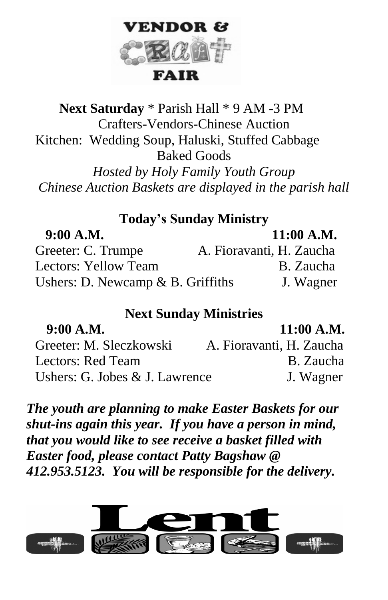

# **Next Saturday** \* Parish Hall \* 9 AM -3 PM Crafters-Vendors-Chinese Auction Kitchen: Wedding Soup, Haluski, Stuffed Cabbage Baked Goods *Hosted by Holy Family Youth Group Chinese Auction Baskets are displayed in the parish hall*

#### **Today's Sunday Ministry**

| 9:00 A.M.                            | $11:00$ A.M.             |
|--------------------------------------|--------------------------|
| Greeter: C. Trumpe                   | A. Fioravanti, H. Zaucha |
| Lectors: Yellow Team                 | B. Zaucha                |
| Ushers: D. Newcamp $\&$ B. Griffiths | J. Wagner                |

# **Next Sunday Ministries**

| 9:00 A.M.                        | $11:00$ A.M.             |
|----------------------------------|--------------------------|
| Greeter: M. Sleczkowski          | A. Fioravanti, H. Zaucha |
| Lectors: Red Team                | B. Zaucha                |
| Ushers: G. Jobes $&$ J. Lawrence | J. Wagner                |

*The youth are planning to make Easter Baskets for our shut-ins again this year. If you have a person in mind, that you would like to see receive a basket filled with Easter food, please contact Patty Bagshaw @ 412.953.5123. You will be responsible for the delivery.*

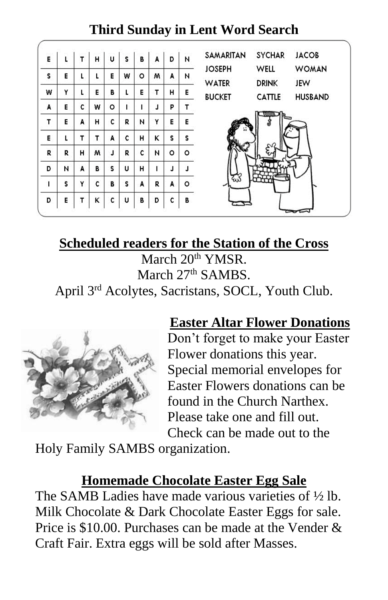#### SAMARITAN **SYCHAR JACOB** ï.  $\mathbf{T}$ H. ü s. B. Ä b Ñ E WELL **WOMAN JOSEPH** s. E L. L. E W ō M A N, **WATER DRINK** JEW Y E. W L. В L E. T. н E. **BUCKET** CATTLE **HUSBAND** A E  $\mathbf{c}$ w  $\circ$ Ë Ë Ű. P. T E A H. c Y E. T R И E. s. Ē. t. T. T. Á c H κ s. ò. H M. J. R ċ N ö. R. R D N A B s. U. н Ť. J. J. Ŝ. Y  $\mathbf{C}$ B s. Ä Ŕ ö Ä L D. Ė  $\mathsf{T}$ κ c Ù. В D c B.

# **Third Sunday in Lent Word Search**

# **Scheduled readers for the Station of the Cross**

March 20<sup>th</sup> YMSR. March 27<sup>th</sup> SAMBS.

April 3rd Acolytes, Sacristans, SOCL, Youth Club.



# **Easter Altar Flower Donations**

Don't forget to make your Easter Flower donations this year. Special memorial envelopes for Easter Flowers donations can be found in the Church Narthex. Please take one and fill out. Check can be made out to the

Holy Family SAMBS organization.

# **Homemade Chocolate Easter Egg Sale**

The SAMB Ladies have made various varieties of ½ lb. Milk Chocolate & Dark Chocolate Easter Eggs for sale. Price is \$10.00. Purchases can be made at the Vender & Craft Fair. Extra eggs will be sold after Masses.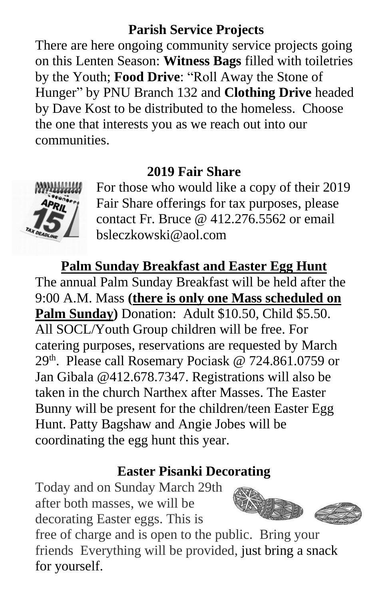#### **Parish Service Projects**

There are here ongoing community service projects going on this Lenten Season: **Witness Bags** filled with toiletries by the Youth; **Food Drive**: "Roll Away the Stone of Hunger" by PNU Branch 132 and **Clothing Drive** headed by Dave Kost to be distributed to the homeless. Choose the one that interests you as we reach out into our communities.

#### **2019 Fair Share**



For those who would like a copy of their 2019 Fair Share offerings for tax purposes, please contact Fr. Bruce @ 412.276.5562 or email bsleczkowski@aol.com

#### **Palm Sunday Breakfast and Easter Egg Hunt**

The annual Palm Sunday Breakfast will be held after the 9:00 A.M. Mass **(there is only one Mass scheduled on Palm Sunday)** Donation: Adult \$10.50, Child \$5.50. All SOCL/Youth Group children will be free. For catering purposes, reservations are requested by March 29<sup>th</sup>. Please call Rosemary Pociask @ 724.861.0759 or Jan Gibala @412.678.7347. Registrations will also be taken in the church Narthex after Masses. The Easter Bunny will be present for the children/teen Easter Egg Hunt. Patty Bagshaw and Angie Jobes will be coordinating the egg hunt this year.

#### **Easter Pisanki Decorating**

Today and on Sunday March 29th after both masses, we will be decorating Easter eggs. This is





free of charge and is open to the public. Bring your friends Everything will be provided, just bring a snack for yourself.